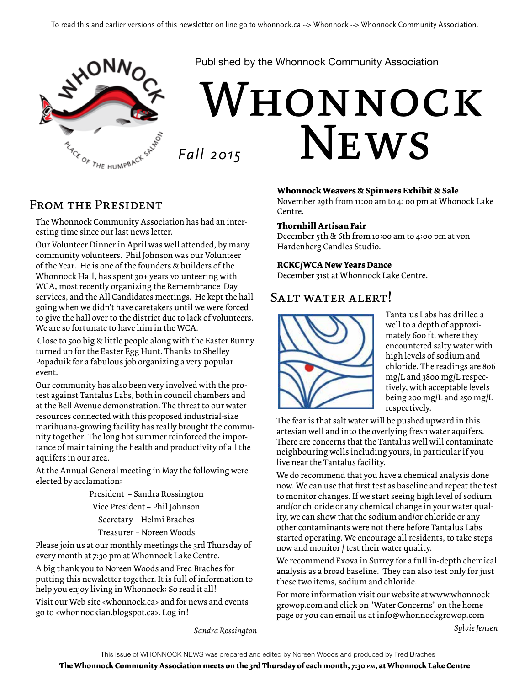

Published by the Whonnock Community Association

# WHONNOCK **NEWS** *Fall 2015*

### From the President

The Whonnock Community Association has had an interesting time since our last news letter.

Our Volunteer Dinner in April was well attended, by many community volunteers. Phil Johnson was our Volunteer of the Year. He is one of the founders & builders of the Whonnock Hall, has spent 30+ years volunteering with WCA, most recently organizing the Remembrance Day services, and the All Candidates meetings. He kept the hall going when we didn't have caretakers until we were forced to give the hall over to the district due to lack of volunteers. We are so fortunate to have him in the WCA.

 Close to 500 big & little people along with the Easter Bunny turned up for the Easter Egg Hunt. Thanks to Shelley Popaduik for a fabulous job organizing a very popular event.

Our community has also been very involved with the protest against Tantalus Labs, both in council chambers and at the Bell Avenue demonstration. The threat to our water resources connected with this proposed industrial-size marihuana-growing facility has really brought the community together. The long hot summer reinforced the importance of maintaining the health and productivity of all the aquifers in our area.

At the Annual General meeting in May the following were elected by acclamation:

> President – Sandra Rossington Vice President – Phil Johnson Secretary – Helmi Braches Treasurer – Noreen Woods

Please join us at our monthly meetings the 3rd Thursday of every month at 7:30 pm at Whonnock Lake Centre.

A big thank you to Noreen Woods and Fred Braches for putting this newsletter together. It is full of information to help you enjoy living in Whonnock: So read it all! Visit our Web site <whonnock.ca> and for news and events go to <whonnockian.blogspot.ca>. Log in!

**Whonnock Weavers & Spinners Exhibit & Sale**

November 29th from 11:00 am to 4: 00 pm at Whonock Lake Centre.

#### **Thornhill Artisan Fair**

December 5th & 6th from 10:00 am to 4:00 pm at von Hardenberg Candles Studio.

#### **RCKC/WCA New Years Dance**

December 31st at Whonnock Lake Centre.

### SALT WATER ALERT!



Tantalus Labs has drilled a well to a depth of approximately 600 ft. where they encountered salty water with high levels of sodium and chloride. The readings are 806 mg/L and 3800 mg/L respectively, with acceptable levels being 200 mg/L and 250 mg/L respectively.

The fear is that salt water will be pushed upward in this artesian well and into the overlying fresh water aquifers. There are concerns that the Tantalus well will contaminate neighbouring wells including yours, in particular if you live near the Tantalus facility.

We do recommend that you have a chemical analysis done now. We can use that first test as baseline and repeat the test to monitor changes. If we start seeing high level of sodium and/or chloride or any chemical change in your water quality, we can show that the sodium and/or chloride or any other contaminants were not there before Tantalus Labs started operating. We encourage all residents, to take steps now and monitor / test their water quality.

We recommend Exova in Surrey for a full in-depth chemical analysis as a broad baseline. They can also test only for just these two items, sodium and chloride.

For more information visit our website at www.whonnockgrowop.com and click on "Water Concerns" on the home page or you can email us at info@whonnockgrowop.com

*Sylvie Jensen*

*Sandra Rossington*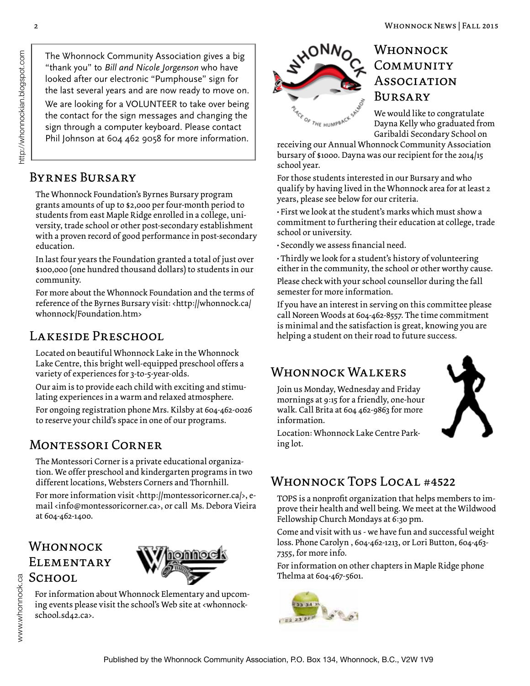The Whonnock Community Association gives a big "thank you" to *Bill and Nicole Jorgenson* who have looked after our electronic "Pumphouse" sign for the last several years and are now ready to move on. We are looking for a VOLUNTEER to take over being the contact for the sign messages and changing the sign through a computer keyboard. Please contact Phil Johnson at 604 462 9058 for more information.

### Byrnes Bursary

The Whonnock Foundation's Byrnes Bursary program grants amounts of up to \$2,000 per four-month period to students from east Maple Ridge enrolled in a college, university, trade school or other post-secondary establishment with a proven record of good performance in post-secondary education.

In last four years the Foundation granted a total of just over \$100,ooo (one hundred thousand dollars) to students in our community.

For more about the Whonnock Foundation and the terms of reference of the Byrnes Bursary visit: <http://whonnock.ca/ whonnock/Foundation.htm>

### LAKESIDE PRESCHOOL

Located on beautiful Whonnock Lake in the Whonnock Lake Centre, this bright well-equipped preschool offers a variety of experiences for 3-to-5-year-olds.

Our aim is to provide each child with exciting and stimulating experiences in a warm and relaxed atmosphere.

For ongoing registration phone Mrs. Kilsby at 604-462-0026 to reserve your child's space in one of our programs.

### Montessori Corner

The Montessori Corner is a private educational organization. We offer preschool and kindergarten programs in two different locations, Websters Corners and Thornhill.

For more information visit <http://montessoricorner.ca/>, email <info@montessoricorner.ca>, or call Ms. Debora Vieira at 604-462-1400.

### **WHONNOCK ELEMENTARY** SCHOOL



For information about Whonnock Elementary and upcoming events please visit the school's Web site at <whonnockschool.sd42.ca>.



### Whonnock COMMUNITY **Association** Bursary

We would like to congratulate Dayna Kelly who graduated from Garibaldi Secondary School on

receiving our Annual Whonnock Community Association bursary of \$1000. Dayna was our recipient for the 2014/15 school year.

For those students interested in our Bursary and who qualify by having lived in the Whonnock area for at least 2 years, please see below for our criteria.

• First we look at the student's marks which must show a commitment to furthering their education at college, trade school or university.

• Secondly we assess financial need.

• Thirdly we look for a student's history of volunteering either in the community, the school or other worthy cause.

Please check with your school counsellor during the fall semester for more information.

If you have an interest in serving on this committee please call Noreen Woods at 604-462-8557. The time commitment is minimal and the satisfaction is great, knowing you are helping a student on their road to future success.

### WHONNOCK WALKERS

Join us Monday, Wednesday and Friday mornings at 9:15 for a friendly, one-hour walk. Call Brita at 604 462-9863 for more information.



Location: Whonnock Lake Centre Parking lot.

### Whonnock Tops Local #4522

TOPS is a nonprofit organization that helps members to improve their health and well being. We meet at the Wildwood Fellowship Church Mondays at 6:30 pm.

Come and visit with us - we have fun and successful weight loss. Phone Carolyn , 604-462-1213, or Lori Button, 604-463- 7355, for more info.

For information on other chapters in Maple Ridge phone Thelma at 604-467-5601.

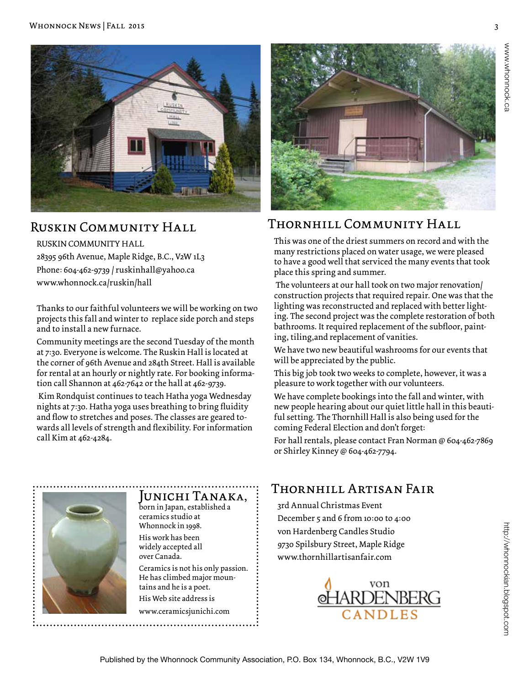

### Ruskin Community Hall

#### RUSKIN COMMUNITY HALL

28395 96th Avenue, Maple Ridge, B.C., V2W 1L3 Phone: 604-462-9739 / ruskinhall@yahoo.ca www.whonnock.ca/ruskin/hall

Thanks to our faithful volunteers we will be working on two projects this fall and winter to replace side porch and steps and to install a new furnace.

Community meetings are the second Tuesday of the month at 7:30. Everyone is welcome. The Ruskin Hall is located at the corner of 96th Avenue and 284th Street. Hall is available for rental at an hourly or nightly rate. For booking information call Shannon at 462-7642 or the hall at 462-9739.

 Kim Rondquist continues to teach Hatha yoga Wednesday nights at 7:30. Hatha yoga uses breathing to bring fluidity and flow to stretches and poses. The classes are geared towards all levels of strength and flexibility. For information call Kim at 462-4284.



### Thornhill Community Hall

This was one of the driest summers on record and with the many restrictions placed on water usage, we were pleased to have a good well that serviced the many events that took place this spring and summer.

 The volunteers at our hall took on two major renovation/ construction projects that required repair. One was that the lighting was reconstructed and replaced with better lighting. The second project was the complete restoration of both bathrooms. It required replacement of the subfloor, painting, tiling,and replacement of vanities.

We have two new beautiful washrooms for our events that will be appreciated by the public.

This big job took two weeks to complete, however, it was a pleasure to work together with our volunteers.

We have complete bookings into the fall and winter, with new people hearing about our quiet little hall in this beautiful setting. The Thornhill Hall is also being used for the coming Federal Election and don't forget:

For hall rentals, please contact Fran Norman @ 604-462-7869 or Shirley Kinney @ 604-462-7794.

### Junichi Tanaka,

born in Japan, established a ceramics studio at Whonnock in 1998.

His work has been widely accepted all over Canada.

Ceramics is not his only passion. He has climbed major mountains and he is a poet.

His Web site address is

www.ceramicsjunichi.com

### Thornhill Artisan Fair

3rd Annual Christmas Event December 5 and 6 from 10:00 to 4:00 von Hardenberg Candles Studio 9730 Spilsbury Street, Maple Ridge www.thornhillartisanfair.com

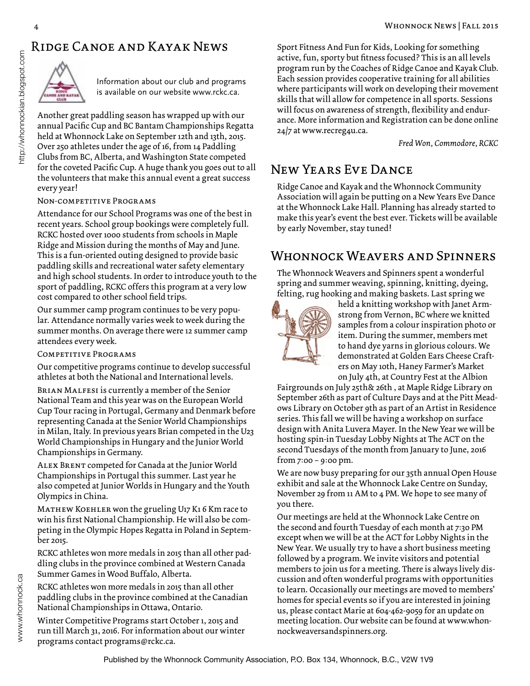### Ridge Canoe and Kayak News



Information about our club and programs is available on our website www.rckc.ca.

Another great paddling season has wrapped up with our annual Pacific Cup and BC Bantam Championships Regatta held at Whonnock Lake on September 12th and 13th, 2015. Over 250 athletes under the age of 16, from 14 Paddling Clubs from BC, Alberta, and Washington State competed for the coveted Pacific Cup. A huge thank you goes out to all the volunteers that make this annual event a great success every year!

#### Non-competitive Programs

Attendance for our School Programs was one of the best in recent years. School group bookings were completely full. RCKC hosted over 1000 students from schools in Maple Ridge and Mission during the months of May and June. This is a fun-oriented outing designed to provide basic paddling skills and recreational water safety elementary and high school students. In order to introduce youth to the sport of paddling, RCKC offers this program at a very low cost compared to other school field trips.

Our summer camp program continues to be very popular. Attendance normally varies week to week during the summer months. On average there were 12 summer camp attendees every week.

#### Competitive Programs

Our competitive programs continue to develop successful athletes at both the National and International levels.

Brian Malfesi is currently a member of the Senior National Team and this year was on the European World Cup Tour racing in Portugal, Germany and Denmark before representing Canada at the Senior World Championships in Milan, Italy. In previous years Brian competed in the U23 World Championships in Hungary and the Junior World Championships in Germany.

Alex Brent competed for Canada at the Junior World Championships in Portugal this summer. Last year he also competed at Junior Worlds in Hungary and the Youth Olympics in China.

MATHEW KOEHLER won the grueling U17 K1 6 Km race to win his first National Championship. He will also be competing in the Olympic Hopes Regatta in Poland in September 2015.

RCKC athletes won more medals in 2015 than all other paddling clubs in the province combined at Western Canada Summer Games in Wood Buffalo, Alberta.

RCKC athletes won more medals in 2015 than all other paddling clubs in the province combined at the Canadian National Championships in Ottawa, Ontario.

Winter Competitive Programs start October 1, 2015 and run till March 31, 2016. For information about our winter programs contact programs@rckc.ca.

Sport Fitness And Fun for Kids, Looking for something active, fun, sporty but fitness focused? This is an all levels program run by the Coaches of Ridge Canoe and Kayak Club. Each session provides cooperative training for all abilities where participants will work on developing their movement skills that will allow for competence in all sports. Sessions will focus on awareness of strength, flexibility and endurance. More information and Registration can be done online 24/7 at www.recreg4u.ca.

*Fred Won, Commodore, RCKC*

### New Years Eve Dance

Ridge Canoe and Kayak and the Whonnock Community Association will again be putting on a New Years Eve Dance at the Whonnock Lake Hall. Planning has already started to make this year's event the best ever. Tickets will be available by early November, stay tuned!

### Whonnock Weavers and Spinners

The Whonnock Weavers and Spinners spent a wonderful spring and summer weaving, spinning, knitting, dyeing, felting, rug hooking and making baskets. Last spring we



held a knitting workshop with Janet Armstrong from Vernon, BC where we knitted samples from a colour inspiration photo or item. During the summer, members met to hand dye yarns in glorious colours. We demonstrated at Golden Ears Cheese Crafters on May 10th, Haney Farmer's Market on July 4th, at Country Fest at the Albion

Fairgrounds on July 25th& 26th , at Maple Ridge Library on September 26th as part of Culture Days and at the Pitt Meadows Library on October 9th as part of an Artist in Residence series. This fall we will be having a workshop on surface design with Anita Luvera Mayer. In the New Year we will be hosting spin-in Tuesday Lobby Nights at The ACT on the second Tuesdays of the month from January to June, 2016 from 7:00 – 9:00 pm.

We are now busy preparing for our 35th annual Open House exhibit and sale at the Whonnock Lake Centre on Sunday, November 29 from 11 AM to 4 PM. We hope to see many of you there.

Our meetings are held at the Whonnock Lake Centre on the second and fourth Tuesday of each month at 7:30 PM except when we will be at the ACT for Lobby Nights in the New Year. We usually try to have a short business meeting followed by a program. We invite visitors and potential members to join us for a meeting. There is always lively discussion and often wonderful programs with opportunities to learn. Occasionally our meetings are moved to members' homes for special events so if you are interested in joining us, please contact Marie at 604-462-9059 for an update on meeting location. Our website can be found at www.whonnockweaversandspinners.org.

http://whonnockian.blogspot.com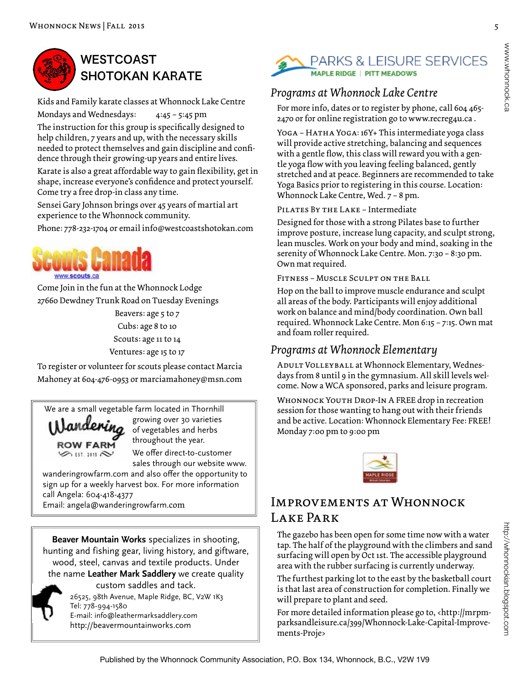

## **WESTCOAST SHOTOKAN KARATE**

Kids and Family karate classes at Whonnock Lake Centre

Mondays and Wednesdays: 4:45 – 5:45 pm The instruction for this group is specifically designed to help children, 7 years and up, with the necessary skills needed to protect themselves and gain discipline and confidence through their growing-up years and entire lives.

Karate is also a great affordable way to gain flexibility, get in shape, increase everyone's confidence and protect yourself. Come try a free drop-in class any time.

Sensei Gary Johnson brings over 45 years of martial art experience to the Whonnock community.

Phone: 778-232-1704 or email info@westcoastshotokan.com



Come Join in the fun at the Whonnock Lodge 27660 Dewdney Trunk Road on Tuesday Evenings

> Beavers: age 5 to 7 Cubs: age 8 to 10 Scouts: age 11 to 14 Ventures: age 15 to 17

To register or volunteer for scouts please contact Marcia Mahoney at 604-476-0953 or marciamahoney@msn.com

We are a small vegetable farm located in Thornhill

andering **ROW FARM**  $\otimes$   $\mathfrak{m}$   $\mathfrak{m}$ 

growing over 30 varieties of vegetables and herbs throughout the year.

We offer direct-to-customer sales through our website www.

wanderingrowfarm.com and also offer the opportunity to sign up for a weekly harvest box. For more information call Angela: 604-418-4377 Email: angela@wanderingrowfarm.com

**Beaver Mountain Works** specializes in shooting, hunting and fishing gear, living history, and giftware, wood, steel, canvas and textile products. Under the name **Leather Mark Saddlery** we create quality



26525, 98th Avenue, Maple Ridge, BC, V2W 1K3 Tel: 778-994-1580 E-mail: info@leathermarksaddlery.com http://beavermountainworks.com custom saddles and tack.



### *Programs at Whonnock Lake Centre*

For more info, dates or to register by phone, call 604 465- 2470 or for online registration go to www.recreg4u.ca .

YOGA - HATHA YOGA: 16Y+ This intermediate yoga class will provide active stretching, balancing and sequences with a gentle flow, this class will reward you with a gentle yoga flow with you leaving feeling balanced, gently stretched and at peace. Beginners are recommended to take Yoga Basics prior to registering in this course. Location: Whonnock Lake Centre, Wed. 7 – 8 pm.

### PILATES BY THE LAKE - Intermediate

Designed for those with a strong Pilates base to further improve posture, increase lung capacity, and sculpt strong, lean muscles. Work on your body and mind, soaking in the serenity of Whonnock Lake Centre. Mon. 7:30 – 8:30 pm. Own mat required.

Fitness – Muscle Sculpt on the Ball

Hop on the ball to improve muscle endurance and sculpt all areas of the body. Participants will enjoy additional work on balance and mind/body coordination. Own ball required. Whonnock Lake Centre. Mon 6:15 – 7:15. Own mat and foam roller required.

### *Programs at Whonnock Elementary*

ADULT VOLLEYBALL at Whonnock Elementary, Wednesdays from 8 until 9 in the gymnasium. All skill levels welcome. Now a WCA sponsored, parks and leisure program.

WHONNOCK YOUTH DROP-IN A FREE drop in recreation session for those wanting to hang out with their friends and be active. Location: Whonnock Elementary Fee: FREE! Monday 7:00 pm to 9:00 pm



### Improvements at Whonnock Lake Park

The gazebo has been open for some time now with a water tap. The half of the playground with the climbers and sand surfacing will open by Oct 1st. The accessible playground area with the rubber surfacing is currently underway.

The furthest parking lot to the east by the basketball court is that last area of construction for completion. Finally we will prepare to plant and seed.

For more detailed information please go to, <http://mrpmparksandleisure.ca/399/Whonnock-Lake-Capital-Improvements-Proje>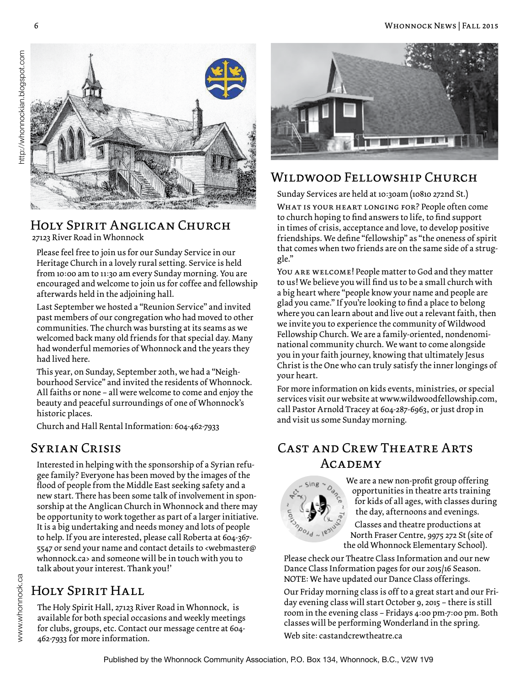

#### Holy Spirit Anglican Church 27123 River Road in Whonnock

Please feel free to join us for our Sunday Service in our Heritage Church in a lovely rural setting. Service is held from 10:00 am to 11:30 am every Sunday morning. You are encouraged and welcome to join us for coffee and fellowship afterwards held in the adjoining hall.

Last September we hosted a "Reunion Service" and invited past members of our congregation who had moved to other communities. The church was bursting at its seams as we welcomed back many old friends for that special day. Many had wonderful memories of Whonnock and the years they had lived here.

This year, on Sunday, September 20th, we had a "Neighbourhood Service" and invited the residents of Whonnock. All faiths or none – all were welcome to come and enjoy the beauty and peaceful surroundings of one of Whonnock's historic places.

Church and Hall Rental Information: 604-462-7933

### Syrian Crisis

Interested in helping with the sponsorship of a Syrian refugee family? Everyone has been moved by the images of the flood of people from the Middle East seeking safety and a new start. There has been some talk of involvement in sponsorship at the Anglican Church in Whonnock and there may be opportunity to work together as part of a larger initiative. It is a big undertaking and needs money and lots of people to help. If you are interested, please call Roberta at 604-367- 5547 or send your name and contact details to <webmaster@ whonnock.ca> and someone will be in touch with you to talk about your interest. Thank you!'

### Holy Spirit Hall

The Holy Spirit Hall, 27123 River Road in Whonnock, is available for both special occasions and weekly meetings for clubs, groups, etc. Contact our message centre at 604- 462-7933 for more information.



### Wildwood Fellowship Church

Sunday Services are held at 10:30am (10810 272nd St.)

WHAT IS YOUR HEART LONGING FOR? People often come to church hoping to find answers to life, to find support in times of crisis, acceptance and love, to develop positive friendships. We define "fellowship" as "the oneness of spirit that comes when two friends are on the same side of a struggle."

You are welcome! People matter to God and they matter to us! We believe you will find us to be a small church with a big heart where "people know your name and people are glad you came." If you're looking to find a place to belong where you can learn about and live out a relevant faith, then we invite you to experience the community of Wildwood Fellowship Church. We are a family-oriented, nondenominational community church. We want to come alongside you in your faith journey, knowing that ultimately Jesus Christ is the One who can truly satisfy the inner longings of your heart.

For more information on kids events, ministries, or special services visit our website at www.wildwoodfellowship.com, call Pastor Arnold Tracey at 604-287-6963, or just drop in and visit us some Sunday morning.

### Cast and Crew Theatre Arts Academy



We are a new non-profit group offering opportunities in theatre arts training for kids of all ages, with classes during the day, afternoons and evenings.

Classes and theatre productions at North Fraser Centre, 9975 272 St (site of the old Whonnock Elementary School).

Please check our Theatre Class Information and our new Dance Class Information pages for our 2015/16 Season. NOTE: We have updated our Dance Class offerings.

Our Friday morning class is off to a great start and our Friday evening class will start October 9, 2015 – there is still room in the evening class – Fridays 4:00 pm-7:00 pm. Both classes will be performing Wonderland in the spring. Web site: castandcrewtheatre.ca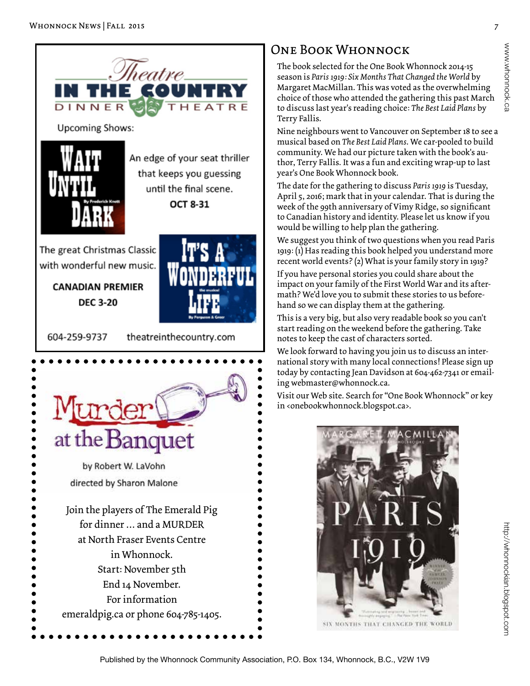

End 14 November. For information emeraldpig.ca or phone 604-785-1405.

### One Book Whonnock

The book selected for the One Book Whonnock 2014-15 season is *Paris 1919: Six Months That Changed the World* by Margaret MacMillan. This was voted as the overwhelming choice of those who attended the gathering this past March to discuss last year's reading choice: *The Best Laid Plans* by Terry Fallis.

Nine neighbours went to Vancouver on September 18 to see a musical based on *The Best Laid Plans*. We car-pooled to build community. We had our picture taken with the book's author, Terry Fallis. It was a fun and exciting wrap-up to last year's One Book Whonnock book.

The date for the gathering to discuss *Paris 1919* is Tuesday, April 5, 2016; mark that in your calendar. That is during the week of the 99th anniversary of Vimy Ridge, so significant to Canadian history and identity. Please let us know if you would be willing to help plan the gathering.

We suggest you think of two questions when you read Paris 1919: (1) Has reading this book helped you understand more recent world events? (2) What is your family story in 1919?

If you have personal stories you could share about the impact on your family of the First World War and its aftermath? We'd love you to submit these stories to us beforehand so we can display them at the gathering.

This is a very big, but also very readable book so you can't start reading on the weekend before the gathering. Take notes to keep the cast of characters sorted.

We look forward to having you join us to discuss an international story with many local connections! Please sign up today by contacting Jean Davidson at 604-462-7341 or emailing webmaster@whonnock.ca.

Visit our Web site. Search for "One Book Whonnock" or key in <onebookwhonnock.blogspot.ca>.



www.whonnock.ca www.whonnock.ca